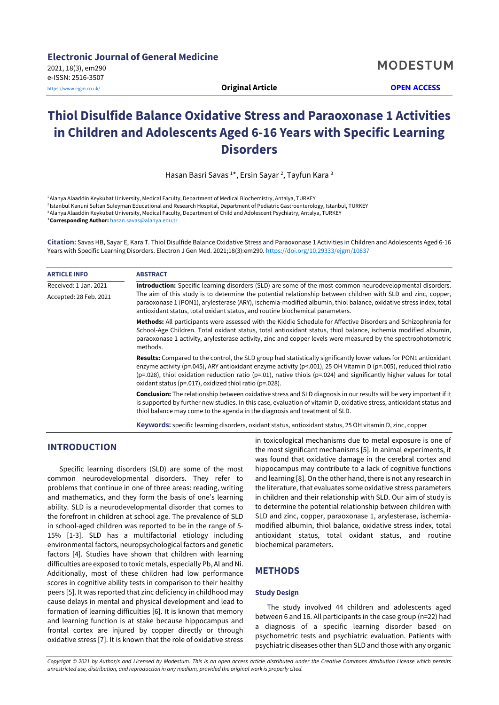# **Thiol Disulfide Balance Oxidative Stress and Paraoxonase 1 Activities in Children and Adolescents Aged 6-16 Years with Specific Learning Disorders**

Hasan Basri Savas <sup>1</sup>\*, Ersin Sayar <sup>2</sup>, Tayfun Kara <sup>3</sup>

1Alanya Alaaddin Keykubat University, Medical Faculty, Department of Medical Biochemistry, Antalya, TURKEY <sup>2</sup> Istanbul Kanuni Sultan Suleyman Educational and Research Hospital, Department of Pediatric Gastroenterology, Istanbul, TURKEY 3Alanya Alaaddin Keykubat University, Medical Faculty, Department of Child and Adolescent Psychiatry, Antalya, TURKEY \***Corresponding Author:** [hasan.savas@alanya.edu.tr](mailto:hasan.savas@alanya.edu.tr)

**Citation:** Savas HB, Sayar E, Kara T. Thiol Disulfide Balance Oxidative Stress and Paraoxonase 1 Activities in Children and Adolescents Aged 6-16 Years with Specific Learning Disorders. Electron J Gen Med. 2021;18(3):em290. <https://doi.org/10.29333/ejgm/10837>

| <b>ARTICLE INFO</b>    | <b>ABSTRACT</b>                                                                                                                                                                                                                                                                                                                                                                                                                                    |  |  |  |
|------------------------|----------------------------------------------------------------------------------------------------------------------------------------------------------------------------------------------------------------------------------------------------------------------------------------------------------------------------------------------------------------------------------------------------------------------------------------------------|--|--|--|
| Received: 1 Jan. 2021  | Introduction: Specific learning disorders (SLD) are some of the most common neurodevelopmental disorders.                                                                                                                                                                                                                                                                                                                                          |  |  |  |
| Accepted: 28 Feb. 2021 | The aim of this study is to determine the potential relationship between children with SLD and zinc, copper,<br>paraoxonase 1 (PON1), arylesterase (ARY), ischemia-modified albumin, thiol balance, oxidative stress index, total<br>antioxidant status, total oxidant status, and routine biochemical parameters.                                                                                                                                 |  |  |  |
|                        | Methods: All participants were assessed with the Kiddie Schedule for Affective Disorders and Schizophrenia for<br>School-Age Children. Total oxidant status, total antioxidant status, thiol balance, ischemia modified albumin,<br>paraoxonase 1 activity, arylesterase activity, zinc and copper levels were measured by the spectrophotometric<br>methods.                                                                                      |  |  |  |
|                        | Results: Compared to the control, the SLD group had statistically significantly lower values for PON1 antioxidant<br>enzyme activity (p=.045), ARY antioxidant enzyme activity (p<.001), 25 OH Vitamin D (p=.005), reduced thiol ratio<br>( $p=.028$ ), thiol oxidation reduction ratio ( $p=.01$ ), native thiols ( $p=.024$ ) and significantly higher values for total<br>oxidant status ( $p = 0.017$ ), oxidized thiol ratio ( $p = 0.028$ ). |  |  |  |
|                        | <b>Conclusion:</b> The relationship between oxidative stress and SLD diagnosis in our results will be very important if it<br>is supported by further new studies. In this case, evaluation of vitamin D, oxidative stress, antioxidant status and<br>thiol balance may come to the agenda in the diagnosis and treatment of SLD.                                                                                                                  |  |  |  |
|                        | Keywords: specific learning disorders, oxidant status, antioxidant status, 25 OH vitamin D, zinc, copper                                                                                                                                                                                                                                                                                                                                           |  |  |  |

## **INTRODUCTION**

Specific learning disorders (SLD) are some of the most common neurodevelopmental disorders. They refer to problems that continue in one of three areas: reading, writing and mathematics, and they form the basis of one's learning ability. SLD is a neurodevelopmental disorder that comes to the forefront in children at school age. The prevalence of SLD in school-aged children was reported to be in the range of 5- 15% [1-3]. SLD has a multifactorial etiology including environmental factors, neuropsychological factors and genetic factors [4]. Studies have shown that children with learning difficulties are exposed to toxic metals, especially Pb, Al and Ni. Additionally, most of these children had low performance scores in cognitive ability tests in comparison to their healthy peers [5]. It was reported that zinc deficiency in childhood may cause delays in mental and physical development and lead to formation of learning difficulties [6]. It is known that memory and learning function is at stake because hippocampus and frontal cortex are injured by copper directly or through oxidative stress [7]. It is known that the role of oxidative stress in toxicological mechanisms due to metal exposure is one of the most significant mechanisms [5]. In animal experiments, it was found that oxidative damage in the cerebral cortex and hippocampus may contribute to a lack of cognitive functions and learning [8]. On the other hand, there is not any research in the literature, that evaluates some oxidative stress parameters in children and their relationship with SLD. Our aim of study is to determine the potential relationship between children with SLD and zinc, copper, paraoxonase 1, arylesterase, ischemiamodified albumin, thiol balance, oxidative stress index, total antioxidant status, total oxidant status, and routine biochemical parameters.

# **METHODS**

#### **Study Design**

The study involved 44 children and adolescents aged between 6 and 16. All participants in the case group (n=22) had a diagnosis of a specific learning disorder based on psychometric tests and psychiatric evaluation. Patients with psychiatric diseases other than SLD and those with any organic

Copyright © 2021 by Author/s and Licensed by Modestum. This is an open access article distributed under the Creative Commons Attribution License which permits *unrestricted use, distribution, and reproduction in any medium, provided the original work is properly cited.*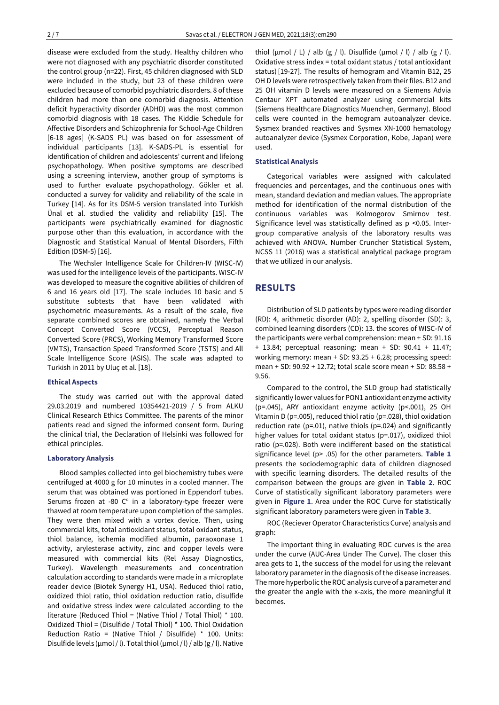disease were excluded from the study. Healthy children who were not diagnosed with any psychiatric disorder constituted the control group (n=22). First, 45 children diagnosed with SLD were included in the study, but 23 of these children were excluded because of comorbid psychiatric disorders. 8 of these children had more than one comorbid diagnosis. Attention deficit hyperactivity disorder (ADHD) was the most common comorbid diagnosis with 18 cases. The Kiddie Schedule for Affective Disorders and Schizophrenia for School-Age Children [6-18 ages] (K-SADS PL) was based on for assessment of individual participants [13]. K-SADS-PL is essential for identification of children and adolescents' current and lifelong psychopathology. When positive symptoms are described using a screening interview, another group of symptoms is used to further evaluate psychopathology. Gökler et al. conducted a survey for validity and reliability of the scale in Turkey [14]. As for its DSM-5 version translated into Turkish Ünal et al. studied the validity and reliability [15]. The participants were psychiatrically examined for diagnostic purpose other than this evaluation, in accordance with the Diagnostic and Statistical Manual of Mental Disorders, Fifth Edition (DSM-5) [16].

The Wechsler Intelligence Scale for Children-IV (WISC-IV) was used for the intelligence levels of the participants. WISC-IV was developed to measure the cognitive abilities of children of 6 and 16 years old [17]. The scale includes 10 basic and 5 substitute subtests that have been validated with psychometric measurements. As a result of the scale, five separate combined scores are obtained, namely the Verbal Concept Converted Score (VCCS), Perceptual Reason Converted Score (PRCS), Working Memory Transformed Score (VMTS), Transaction Speed Transformed Score (TSTS) and All Scale Intelligence Score (ASIS). The scale was adapted to Turkish in 2011 by Uluç et al. [18].

#### **Ethical Aspects**

The study was carried out with the approval dated 29.03.2019 and numbered 10354421-2019 / 5 from ALKU Clinical Research Ethics Committee. The parents of the minor patients read and signed the informed consent form. During the clinical trial, the Declaration of Helsinki was followed for ethical principles.

#### **Laboratory Analysis**

Blood samples collected into gel biochemistry tubes were centrifuged at 4000 g for 10 minutes in a cooled manner. The serum that was obtained was portioned in Eppendorf tubes. Serums frozen at -80  $C^{\circ}$  in a laboratory-type freezer were thawed at room temperature upon completion of the samples. They were then mixed with a vortex device. Then, using commercial kits, total antioxidant status, total oxidant status, thiol balance, ischemia modified albumin, paraoxonase 1 activity, arylesterase activity, zinc and copper levels were measured with commercial kits (Rel Assay Diagnostics, Turkey). Wavelength measurements and concentration calculation according to standards were made in a microplate reader device (Biotek Synergy H1, USA). Reduced thiol ratio, oxidized thiol ratio, thiol oxidation reduction ratio, disulfide and oxidative stress index were calculated according to the literature (Reduced Thiol = (Native Thiol / Total Thiol) \* 100. Oxidized Thiol = (Disulfide / Total Thiol) \* 100. Thiol Oxidation Reduction Ratio = (Native Thiol / Disulfide) \* 100. Units: Disulfide levels ( $\mu$ mol / l). Total thiol ( $\mu$ mol / l) / alb ( $g$  / l). Native thiol ( $\mu$ mol / L) / alb ( $g$  / l). Disulfide ( $\mu$ mol / l) / alb ( $g$  / l). Oxidative stress index = total oxidant status / total antioxidant status) [19-27]. The results of hemogram and Vitamin B12, 25 OH D levels were retrospectively taken from their files. B12 and 25 OH vitamin D levels were measured on a Siemens Advia Centaur XPT automated analyzer using commercial kits (Siemens Healthcare Diagnostics Muenchen, Germany). Blood cells were counted in the hemogram autoanalyzer device. Sysmex branded reactives and Sysmex XN-1000 hematology autoanalyzer device (Sysmex Corporation, Kobe, Japan) were used.

#### **Statistical Analysis**

Categorical variables were assigned with calculated frequencies and percentages, and the continuous ones with mean, standard deviation and median values. The appropriate method for identification of the normal distribution of the continuous variables was Kolmogorov Smirnov test. Significance level was statistically defined as p <0.05. Intergroup comparative analysis of the laboratory results was achieved with ANOVA. Number Cruncher Statistical System, NCSS 11 (2016) was a statistical analytical package program that we utilized in our analysis.

## **RESULTS**

Distribution of SLD patients by types were reading disorder (RD): 4, arithmetic disorder (AD): 2, spelling disorder (SD): 3, combined learning disorders (CD): 13. the scores of WISC-IV of the participants were verbal comprehension: mean + SD: 91.16 + 13.84; perceptual reasoning: mean + SD: 90.41 + 11.47; working memory: mean + SD: 93.25 + 6.28; processing speed: mean + SD: 90.92 + 12.72; total scale score mean + SD: 88.58 + 9.56.

Compared to the control, the SLD group had statistically significantly lower values for PON1 antioxidant enzyme activity (p=.045), ARY antioxidant enzyme activity (p<.001), 25 OH Vitamin D (p=.005), reduced thiol ratio (p=.028), thiol oxidation reduction rate (p=.01), native thiols (p=.024) and significantly higher values for total oxidant status (p=.017), oxidized thiol ratio (p=.028). Both were indifferent based on the statistical significance level (p> .05) for the other parameters. **Table 1** presents the sociodemographic data of children diagnosed with specific learning disorders. The detailed results of the comparison between the groups are given in **Table 2**. ROC Curve of statistically significant laboratory parameters were given in **Figure 1**. Area under the ROC Curve for statistically significant laboratory parameters were given in **Table 3**.

ROC (Reciever Operator Characteristics Curve) analysis and graph:

The important thing in evaluating ROC curves is the area under the curve (AUC-Area Under The Curve). The closer this area gets to 1, the success of the model for using the relevant laboratory parameter in the diagnosis of the disease increases. The more hyperbolic the ROC analysis curve of a parameter and the greater the angle with the x-axis, the more meaningful it becomes.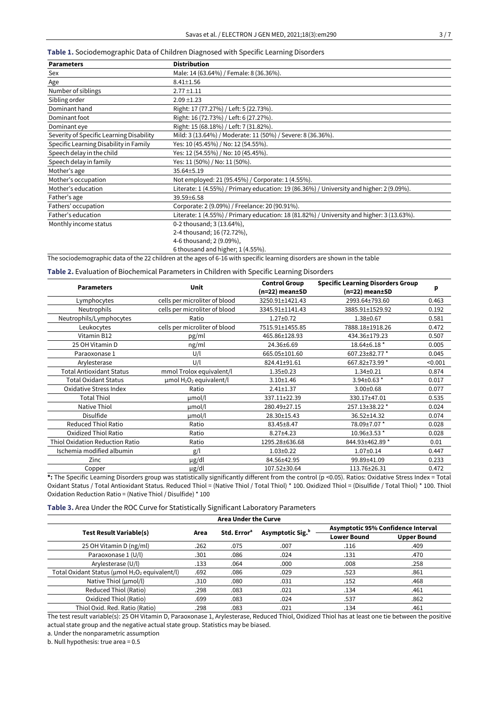**Table 1.** Sociodemographic Data of Children Diagnosed with Specific Learning Disorders

| <b>Parameters</b>                        | <b>Distribution</b>                                                                       |  |  |  |  |
|------------------------------------------|-------------------------------------------------------------------------------------------|--|--|--|--|
| Sex                                      | Male: 14 (63.64%) / Female: 8 (36.36%).                                                   |  |  |  |  |
| Age                                      | $8.41 \pm 1.56$                                                                           |  |  |  |  |
| Number of siblings                       | $2.77 \pm 1.11$                                                                           |  |  |  |  |
| Sibling order                            | $2.09 \pm 1.23$                                                                           |  |  |  |  |
| Dominant hand                            | Right: 17 (77.27%) / Left: 5 (22.73%).                                                    |  |  |  |  |
| Dominant foot                            | Right: 16 (72.73%) / Left: 6 (27.27%).                                                    |  |  |  |  |
| Dominant eye                             | Right: 15 (68.18%) / Left: 7 (31.82%).                                                    |  |  |  |  |
| Severity of Specific Learning Disability | Mild: 3 (13.64%) / Moderate: 11 (50%) / Severe: 8 (36.36%).                               |  |  |  |  |
| Specific Learning Disability in Family   | Yes: 10 (45.45%) / No: 12 (54.55%).                                                       |  |  |  |  |
| Speech delay in the child                | Yes: 12 (54.55%) / No: 10 (45.45%).                                                       |  |  |  |  |
| Speech delay in family                   | Yes: 11 (50%) / No: 11 (50%).                                                             |  |  |  |  |
| Mother's age                             | 35.64±5.19                                                                                |  |  |  |  |
| Mother's occupation                      | Not employed: 21 (95.45%) / Corporate: 1 (4.55%).                                         |  |  |  |  |
| Mother's education                       | Literate: 1 (4.55%) / Primary education: 19 (86.36%) / University and higher: 2 (9.09%).  |  |  |  |  |
| Father's age                             | 39.59±6.58                                                                                |  |  |  |  |
| Fathers' occupation                      | Corporate: 2 (9.09%) / Freelance: 20 (90.91%).                                            |  |  |  |  |
| Father's education                       | Literate: 1 (4.55%) / Primary education: 18 (81.82%) / University and higher: 3 (13.63%). |  |  |  |  |
| Monthly income status                    | 0-2 thousand; 3 (13.64%),                                                                 |  |  |  |  |
|                                          | 2-4 thousand; 16 (72.72%),                                                                |  |  |  |  |
|                                          | 4-6 thousand; 2 (9.09%),                                                                  |  |  |  |  |
|                                          | 6 thousand and higher; 1 (4.55%).                                                         |  |  |  |  |

The sociodemographic data of the 22 children at the ages of 6-16 with specific learning disorders are shown in the table

**Table 2.** Evaluation of Biochemical Parameters in Children with Specific Learning Disorders

| <b>Parameters</b>               | <b>Unit</b>                                          | <b>Control Group</b><br>(n=22) mean±SD | <b>Specific Learning Disorders Group</b><br>(n=22) mean±SD | p       |
|---------------------------------|------------------------------------------------------|----------------------------------------|------------------------------------------------------------|---------|
| Lymphocytes                     | cells per microliter of blood                        | 3250.91±1421.43                        | 2993.64±793.60                                             | 0.463   |
| Neutrophils                     | cells per microliter of blood                        | 3345.91±1141.43                        | 3885.91±1529.92                                            | 0.192   |
| Neutrophils/Lymphocytes         | Ratio                                                | $1.27 \pm 0.72$                        | $1.38 + 0.67$                                              | 0.581   |
| Leukocytes                      | cells per microliter of blood                        | 7515.91±1455.85                        | 7888.18±1918.26                                            | 0.472   |
| Vitamin B12                     | pg/ml                                                | 465.86±128.93                          | 434.36±179.23                                              | 0.507   |
| 25 OH Vitamin D                 | ng/ml                                                | 24.36±6.69                             | 18.64±6.18 *                                               | 0.005   |
| Paraoxonase 1                   | U/l                                                  | 665.05±101.60                          | 607.23±82.77 *                                             | 0.045   |
| Arylesterase                    | U/I                                                  | 824.41±91.61                           | 667.82±73.99 *                                             | < 0.001 |
| Total Antioxidant Status        | mmol Trolox equivalent/l                             | $1.35 \pm 0.23$                        | $1.34 \pm 0.21$                                            | 0.874   |
| <b>Total Oxidant Status</b>     | $\mu$ mol H <sub>2</sub> O <sub>2</sub> equivalent/l | $3.10 \pm 1.46$                        | $3.94\pm0.63$ *                                            | 0.017   |
| Oxidative Stress Index          | Ratio                                                | $2.41 \pm 1.37$                        | $3.00 \pm 0.68$                                            | 0.077   |
| <b>Total Thiol</b>              | $\mu$ mol/l                                          | 337.11±22.39                           | 330.17±47.01                                               | 0.535   |
| Native Thiol                    | µmol/l                                               | 280.49±27.15                           | 257.13±38.22 *                                             | 0.024   |
| Disulfide                       | $\mu$ mol/l                                          | 28.30±15.43                            | 36.52±14.32                                                | 0.074   |
| Reduced Thiol Ratio             | Ratio                                                | 83.45±8.47                             | 78.09±7.07 *                                               | 0.028   |
| Oxidized Thiol Ratio            | Ratio                                                | $8.27 \pm 4.23$                        | 10.96±3.53 *                                               | 0.028   |
| Thiol Oxidation Reduction Ratio | Ratio                                                | 1295.28±636.68                         | 844.93±462.89 *                                            | 0.01    |
| Ischemia modified albumin       | g/l                                                  | $1.03 \pm 0.22$                        | $1.07 \pm 0.14$                                            | 0.447   |
| Zinc                            | $\mu$ g/dl                                           | 84.56±42.95                            | 99.89±41.09                                                | 0.233   |
| Copper                          | $\mu$ g/dl                                           | 107.52±30.64                           | 113.76±26.31                                               | 0.472   |

**\*:** The Specific Learning Disorders group was statistically significantly different from the control (p <0.05). Ratios: Oxidative Stress Index = Total Oxidant Status / Total Antioxidant Status. Reduced Thiol = (Native Thiol / Total Thiol) \* 100. Oxidized Thiol = (Disulfide / Total Thiol) \* 100. Thiol Oxidation Reduction Ratio = (Native Thiol / Disulfide) \* 100

**Table 3.** Area Under the ROC Curve for Statistically Significant Laboratory Parameters

| <b>Area Under the Curve</b>                                            |      |                         |                              |                                    |                    |  |  |  |  |
|------------------------------------------------------------------------|------|-------------------------|------------------------------|------------------------------------|--------------------|--|--|--|--|
| <b>Test Result Variable(s)</b>                                         | Area | Std. Error <sup>a</sup> | Asymptotic Sig. <sup>b</sup> | Asymptotic 95% Confidence Interval |                    |  |  |  |  |
|                                                                        |      |                         |                              | <b>Lower Bound</b>                 | <b>Upper Bound</b> |  |  |  |  |
| 25 OH Vitamin D (ng/ml)                                                | .262 | .075                    | .007                         | .116                               | .409               |  |  |  |  |
| Paraoxonase 1 (U/l)                                                    | .301 | .086                    | .024                         | .131                               | .470               |  |  |  |  |
| Arylesterase (U/l)                                                     | .133 | .064                    | .000                         | .008                               | .258               |  |  |  |  |
| Total Oxidant Status (umol H <sub>2</sub> O <sub>2</sub> equivalent/l) | .692 | .086                    | .029                         | .523                               | .861               |  |  |  |  |
| Native Thiol (umol/l)                                                  | .310 | .080                    | .031                         | .152                               | .468               |  |  |  |  |
| Reduced Thiol (Ratio)                                                  | .298 | .083                    | .021                         | .134                               | .461               |  |  |  |  |
| Oxidized Thiol (Ratio)                                                 | .699 | .083                    | .024                         | .537                               | .862               |  |  |  |  |
| Thiol Oxid. Red. Ratio (Ratio)                                         | .298 | .083                    | .021                         | .134                               | .461               |  |  |  |  |

The test result variable(s): 25 OH Vitamin D, Paraoxonase 1, Arylesterase, Reduced Thiol, Oxidized Thiol has at least one tie between the positive actual state group and the negative actual state group. Statistics may be biased.

a. Under the nonparametric assumption

b. Null hypothesis: true area = 0.5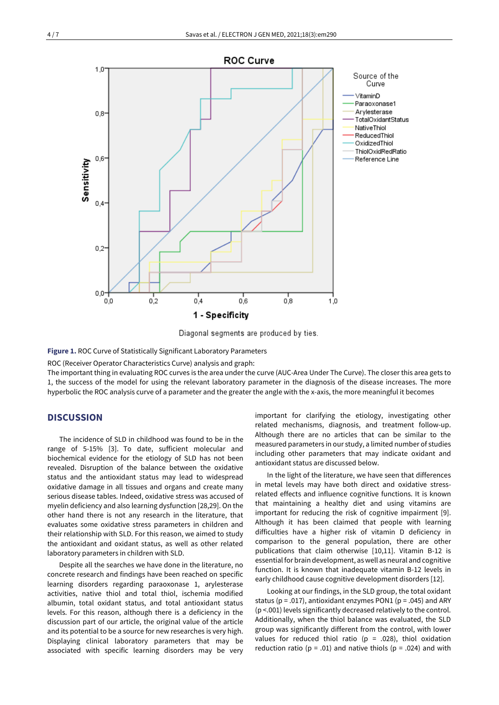

Diagonal segments are produced by ties.

**Figure 1.** ROC Curve of Statistically Significant Laboratory Parameters

ROC (Receiver Operator Characteristics Curve) analysis and graph:

The important thing in evaluating ROC curves is the area under the curve (AUC-Area Under The Curve). The closer this area gets to 1, the success of the model for using the relevant laboratory parameter in the diagnosis of the disease increases. The more hyperbolic the ROC analysis curve of a parameter and the greater the angle with the x-axis, the more meaningful it becomes

## **DISCUSSION**

The incidence of SLD in childhood was found to be in the range of 5-15% [3]. To date, sufficient molecular and biochemical evidence for the etiology of SLD has not been revealed. Disruption of the balance between the oxidative status and the antioxidant status may lead to widespread oxidative damage in all tissues and organs and create many serious disease tables. Indeed, oxidative stress was accused of myelin deficiency and also learning dysfunction [28,29]. On the other hand there is not any research in the literature, that evaluates some oxidative stress parameters in children and their relationship with SLD. For this reason, we aimed to study the antioxidant and oxidant status, as well as other related laboratory parameters in children with SLD.

Despite all the searches we have done in the literature, no concrete research and findings have been reached on specific learning disorders regarding paraoxonase 1, arylesterase activities, native thiol and total thiol, ischemia modified albumin, total oxidant status, and total antioxidant status levels. For this reason, although there is a deficiency in the discussion part of our article, the original value of the article and its potential to be a source for new researches is very high. Displaying clinical laboratory parameters that may be associated with specific learning disorders may be very important for clarifying the etiology, investigating other related mechanisms, diagnosis, and treatment follow-up. Although there are no articles that can be similar to the measured parameters in our study, a limited number of studies including other parameters that may indicate oxidant and antioxidant status are discussed below.

In the light of the literature, we have seen that differences in metal levels may have both direct and oxidative stressrelated effects and influence cognitive functions. It is known that maintaining a healthy diet and using vitamins are important for reducing the risk of cognitive impairment [9]. Although it has been claimed that people with learning difficulties have a higher risk of vitamin D deficiency in comparison to the general population, there are other publications that claim otherwise [10,11]. Vitamin B-12 is essential for brain development, aswell as neural and cognitive function. It is known that inadequate vitamin B-12 levels in early childhood cause cognitive development disorders [12].

Looking at our findings, in the SLD group, the total oxidant status (p = .017), antioxidant enzymes PON1 (p = .045) and ARY (p <.001) levels significantly decreased relatively to the control. Additionally, when the thiol balance was evaluated, the SLD group was significantly different from the control, with lower values for reduced thiol ratio ( $p = .028$ ), thiol oxidation reduction ratio ( $p = .01$ ) and native thiols ( $p = .024$ ) and with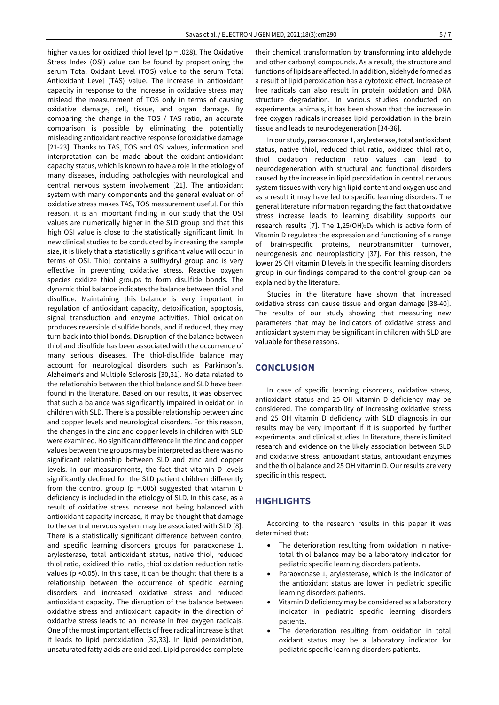higher values for oxidized thiol level ( $p = .028$ ). The Oxidative Stress Index (OSI) value can be found by proportioning the serum Total Oxidant Level (TOS) value to the serum Total Antioxidant Level (TAS) value. The increase in antioxidant capacity in response to the increase in oxidative stress may mislead the measurement of TOS only in terms of causing oxidative damage, cell, tissue, and organ damage. By comparing the change in the TOS / TAS ratio, an accurate comparison is possible by eliminating the potentially misleading antioxidant reactive response for oxidative damage [21-23]. Thanks to TAS, TOS and OSI values, information and interpretation can be made about the oxidant-antioxidant capacity status, which is known to have a role in the etiology of many diseases, including pathologies with neurological and central nervous system involvement [21]. The antioxidant system with many components and the general evaluation of oxidative stress makes TAS, TOS measurement useful. For this reason, it is an important finding in our study that the OSI values are numerically higher in the SLD group and that this high OSI value is close to the statistically significant limit. In new clinical studies to be conducted by increasing the sample size, it is likely that a statistically significant value will occur in terms of OSI. Thiol contains a sulfhydryl group and is very effective in preventing oxidative stress. Reactive oxygen species oxidize thiol groups to form disulfide bonds. The dynamic thiol balance indicates the balance between thiol and disulfide. Maintaining this balance is very important in regulation of antioxidant capacity, detoxification, apoptosis, signal transduction and enzyme activities. Thiol oxidation produces reversible disulfide bonds, and if reduced, they may turn back into thiol bonds. Disruption of the balance between thiol and disulfide has been associated with the occurrence of many serious diseases. The thiol-disulfide balance may account for neurological disorders such as Parkinson's, Alzheimer's and Multiple Sclerosis [30,31]. No data related to the relationship between the thiol balance and SLD have been found in the literature. Based on our results, it was observed that such a balance was significantly impaired in oxidation in children with SLD. There is a possible relationship between zinc and copper levels and neurological disorders. For this reason, the changes in the zinc and copper levels in children with SLD were examined. No significant difference in the zinc and copper values between the groups may be interpreted as there was no significant relationship between SLD and zinc and copper levels. In our measurements, the fact that vitamin D levels significantly declined for the SLD patient children differently from the control group ( $p = .005$ ) suggested that vitamin D deficiency is included in the etiology of SLD. In this case, as a result of oxidative stress increase not being balanced with antioxidant capacity increase, it may be thought that damage to the central nervous system may be associated with SLD [8]. There is a statistically significant difference between control and specific learning disorders groups for paraoxonase 1, arylesterase, total antioxidant status, native thiol, reduced thiol ratio, oxidized thiol ratio, thiol oxidation reduction ratio values (p <0.05). In this case, it can be thought that there is a relationship between the occurrence of specific learning disorders and increased oxidative stress and reduced antioxidant capacity. The disruption of the balance between oxidative stress and antioxidant capacity in the direction of oxidative stress leads to an increase in free oxygen radicals. One ofthe mostimportant effects of free radical increase is that it leads to lipid peroxidation [32,33]. In lipid peroxidation, unsaturated fatty acids are oxidized. Lipid peroxides complete

their chemical transformation by transforming into aldehyde and other carbonyl compounds. As a result, the structure and functions of lipids are affected. In addition, aldehyde formed as a result of lipid peroxidation has a cytotoxic effect. Increase of free radicals can also result in protein oxidation and DNA structure degradation. In various studies conducted on experimental animals, it has been shown that the increase in free oxygen radicals increases lipid peroxidation in the brain tissue and leads to neurodegeneration [34-36].

In our study, paraoxonase 1, arylesterase, total antioxidant status, native thiol, reduced thiol ratio, oxidized thiol ratio, thiol oxidation reduction ratio values can lead to neurodegeneration with structural and functional disorders caused by the increase in lipid peroxidation in central nervous system tissues with very high lipid content and oxygen use and as a result it may have led to specific learning disorders. The general literature information regarding the fact that oxidative stress increase leads to learning disability supports our research results [7]. The  $1.25(OH)_2D_3$  which is active form of Vitamin D regulates the expression and functioning of a range of brain-specific proteins, neurotransmitter turnover, neurogenesis and neuroplasticity [37]. For this reason, the lower 25 OH vitamin D levels in the specific learning disorders group in our findings compared to the control group can be explained by the literature.

Studies in the literature have shown that increased oxidative stress can cause tissue and organ damage [38-40]. The results of our study showing that measuring new parameters that may be indicators of oxidative stress and antioxidant system may be significant in children with SLD are valuable for these reasons.

## **CONCLUSION**

In case of specific learning disorders, oxidative stress, antioxidant status and 25 OH vitamin D deficiency may be considered. The comparability of increasing oxidative stress and 25 OH vitamin D deficiency with SLD diagnosis in our results may be very important if it is supported by further experimental and clinical studies. In literature, there is limited research and evidence on the likely association between SLD and oxidative stress, antioxidant status, antioxidant enzymes and the thiol balance and 25 OH vitamin D. Our results are very specific in this respect.

# **HIGHLIGHTS**

According to the research results in this paper it was determined that:

- The deterioration resulting from oxidation in nativetotal thiol balance may be a laboratory indicator for pediatric specific learning disorders patients.
- Paraoxonase 1, arylesterase, which is the indicator of the antioxidant status are lower in pediatric specific learning disorders patients.
- Vitamin D deficiency may be considered as a laboratory indicator in pediatric specific learning disorders patients.
- The deterioration resulting from oxidation in total oxidant status may be a laboratory indicator for pediatric specific learning disorders patients.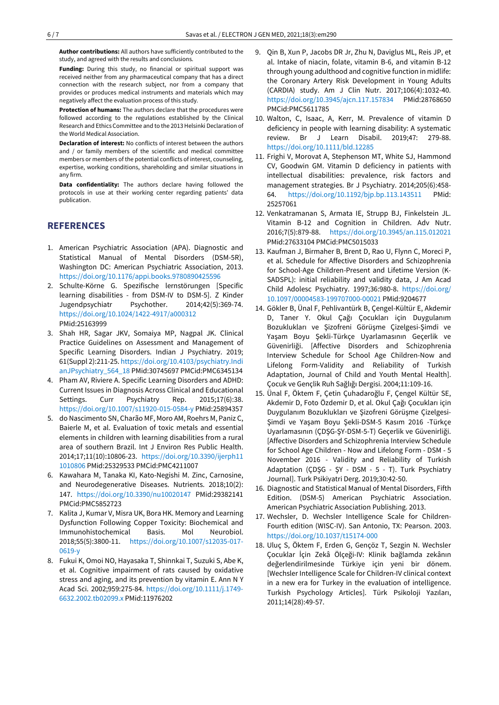**Author contributions:** All authors have sufficiently contributed to the study, and agreed with the results and conclusions.

**Funding:** During this study, no financial or spiritual support was received neither from any pharmaceutical company that has a direct connection with the research subject, nor from a company that provides or produces medical instruments and materials which may negatively affect the evaluation process of this study.

**Protection of humans:** The authors declare that the procedures were followed according to the regulations established by the Clinical Research and Ethics Committee and to the 2013 Helsinki Declaration of the World Medical Association.

**Declaration of interest:** No conflicts of interest between the authors and / or family members of the scientific and medical committee members or members of the potential conflicts of interest, counseling, expertise, working conditions, shareholding and similar situations in any firm.

**Data confidentiality:** The authors declare having followed the protocols in use at their working center regarding patients' data publication.

## **REFERENCES**

- 1. American Psychiatric Association (APA). Diagnostic and Statistical Manual of Mental Disorders (DSM-5R), Washington DC: American Psychiatric Association, 2013. <https://doi.org/10.1176/appi.books.9780890425596>
- 2. Schulte-Körne G. Spezifische lernstörungen [Specific learning disabilities - from DSM-IV to DSM-5]. Z Kinder Jugendpsychiatr Psychother. 2014;42(5):369-74. <https://doi.org/10.1024/1422-4917/a000312> PMid:25163999
- 3. Shah HR, Sagar JKV, Somaiya MP, Nagpal JK. Clinical Practice Guidelines on Assessment and Management of Specific Learning Disorders. Indian J Psychiatry. 2019; 61(Suppl 2):211-25. [https://doi.org/10.4103/psychiatry.Indi](https://doi.org/10.4103/psychiatry.IndianJPsychiatry_564_18) [anJPsychiatry\\_564\\_18](https://doi.org/10.4103/psychiatry.IndianJPsychiatry_564_18) PMid:30745697 PMCid:PMC6345134
- 4. Pham AV, Riviere A. Specific Learning Disorders and ADHD: Current Issues in Diagnosis Across Clinical and Educational Settings. Curr Psychiatry Rep. 2015;17(6):38. <https://doi.org/10.1007/s11920-015-0584-y> PMid:25894357
- 5. do Nascimento SN, Charão MF, Moro AM, Roehrs M, Paniz C, Baierle M, et al. Evaluation of toxic metals and essential elements in children with learning disabilities from a rural area of southern Brazil. Int J Environ Res Public Health. 2014;17;11(10):10806-23. [https://doi.org/10.3390/ijerph11](https://doi.org/10.3390/ijerph111010806) [1010806](https://doi.org/10.3390/ijerph111010806) PMid:25329533 PMCid:PMC4211007
- 6. Kawahara M, Tanaka KI, Kato-Negishi M. Zinc, Carnosine, and Neurodegenerative Diseases. Nutrients. 2018;10(2): 147. <https://doi.org/10.3390/nu10020147> PMid:29382141 PMCid:PMC5852723
- 7. Kalita J, Kumar V, Misra UK, Bora HK. Memory and Learning Dysfunction Following Copper Toxicity: Biochemical and Immunohistochemical Basis. Mol Neurobiol. 2018;55(5):3800-11. [https://doi.org/10.1007/s12035-017-](https://doi.org/10.1007/s12035-017-0619-y) [0619-y](https://doi.org/10.1007/s12035-017-0619-y)
- 8. Fukui K, Omoi NO, Hayasaka T, Shinnkai T, Suzuki S, Abe K, et al. Cognitive impairment of rats caused by oxidative stress and aging, and its prevention by vitamin E. Ann N Y Acad Sci. 2002;959:275-84. [https://doi.org/10.1111/j.1749-](https://doi.org/10.1111/j.1749-6632.2002.tb02099.x) [6632.2002.tb02099.x](https://doi.org/10.1111/j.1749-6632.2002.tb02099.x) PMid:11976202
- 9. Qin B, Xun P, Jacobs DR Jr, Zhu N, Daviglus ML, Reis JP, et al. Intake of niacin, folate, vitamin B-6, and vitamin B-12 through young adulthood and cognitive function in midlife: the Coronary Artery Risk Development in Young Adults (CARDIA) study. Am J Clin Nutr. 2017;106(4):1032-40. <https://doi.org/10.3945/ajcn.117.157834> PMid:28768650 PMCid:PMC5611785
- 10. Walton, C, Isaac, A, Kerr, M. Prevalence of vitamin D deficiency in people with learning disability: A systematic review. Br J Learn Disabil. 2019;47: 279-88. <https://doi.org/10.1111/bld.12285>
- 11. Frighi V, Morovat A, Stephenson MT, White SJ, Hammond CV, Goodwin GM. Vitamin D deficiency in patients with intellectual disabilities: prevalence, risk factors and management strategies. Br J Psychiatry. 2014;205(6):458- 64. <https://doi.org/10.1192/bjp.bp.113.143511> PMid: 25257061
- 12. Venkatramanan S, Armata IE, Strupp BJ, Finkelstein JL. Vitamin B-12 and Cognition in Children. Adv Nutr. 2016;7(5):879-88. <https://doi.org/10.3945/an.115.012021> PMid:27633104 PMCid:PMC5015033
- 13. Kaufman J, Birmaher B, Brent D, Rao U, Flynn C, Moreci P, et al. Schedule for Affective Disorders and Schizophrenia for School-Age Children-Present and Lifetime Version (K-SADSPL): initial reliability and validity data, J Am Acad Child Adolesc Psychiatry. 1997;36:980-8. [https://doi.org/](https://doi.org/10.1097/00004583-199707000-00021) [10.1097/00004583-199707000-00021](https://doi.org/10.1097/00004583-199707000-00021) PMid:9204677
- 14. Gökler B, Ünal F, Pehlivantürk B, Çengel-Kültür E, Akdemir D, Taner Y. Okul Çağı Çocukları için Duygulanım Bozuklukları ve Şizofreni Görüşme Çizelgesi-Şimdi ve Yaşam Boyu Şekli-Türkçe Uyarlamasının Geçerlik ve Güvenirliği. [Affective Disorders and Schizophrenia Interview Schedule for School Age Children-Now and Lifelong Form-Validity and Reliability of Turkish Adaptation, Journal of Child and Youth Mental Health]. Çocuk ve Gençlik Ruh Sağlığı Dergisi. 2004;11:109-16.
- 15. Ünal F, Öktem F, Çetin Çuhadaroğlu F, Çengel Kültür SE, Akdemir D, Foto Özdemir D, et al. Okul Çağı Çocukları için Duygulanım Bozuklukları ve Şizofreni Görüşme Çizelgesi-Şimdi ve Yaşam Boyu Şekli-DSM-5 Kasım 2016 -Türkçe Uyarlamasının (ÇDŞG-ŞY-DSM-5-T) Geçerlik ve Güvenirliği. [Affective Disorders and Schizophrenia Interview Schedule for School Age Children - Now and Lifelong Form - DSM - 5 November 2016 - Validity and Reliability of Turkish Adaptation (ÇDŞG - ŞY - DSM - 5 - T). Turk Psychiatry Journal]. Turk Psikiyatri Derg. 2019;30:42-50.
- 16. Diagnostic and Statistical Manual of Mental Disorders, Fifth Edition. (DSM-5) American Psychiatric Association. American Psychiatric Association Publishing. 2013.
- 17. Wechsler, D. Wechsler Intelligence Scale for Children-Fourth edition (WISC-IV). San Antonio, TX: Pearson. 2003. <https://doi.org/10.1037/t15174-000>
- 18. Uluç S, Öktem F, Erden G, Gençöz T, Sezgin N. Wechsler Çocuklar İçin Zekâ Ölçeği-IV: Klinik bağlamda zekânın değerlendirilmesinde Türkiye için yeni bir dönem. [Wechsler Intelligence Scale for Children-IV clinical context in a new era for Turkey in the evaluation of intelligence. Turkish Psychology Articles]. Türk Psikoloji Yazıları, 2011;14(28):49-57.